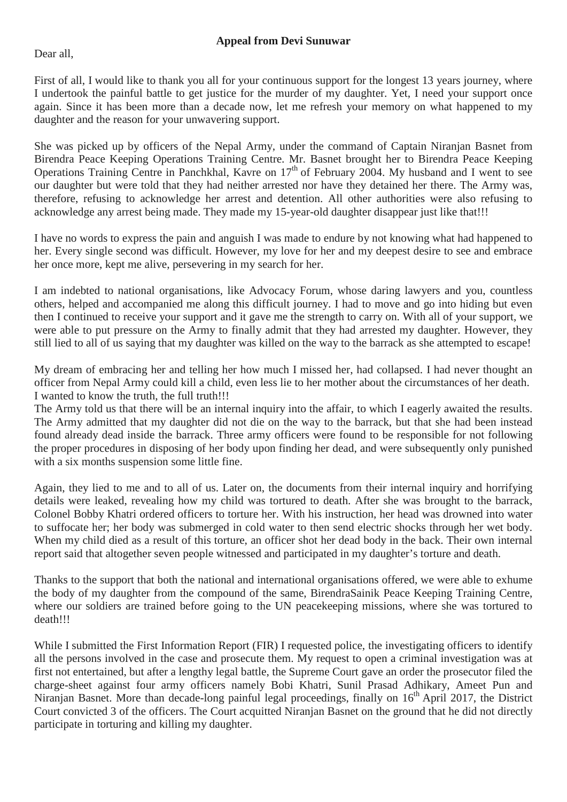Dear all,

First of all, I would like to thank you all for your continuous support for the longest 13 years journey, where I undertook the painful battle to get justice for the murder of my daughter. Yet, I need your support once again. Since it has been more than a decade now, let me refresh your memory on what happened to my daughter and the reason for your unwavering support.

She was picked up by officers of the Nepal Army, under the command of Captain Niranjan Basnet from Birendra Peace Keeping Operations Training Centre. Mr. Basnet brought her to Birendra Peace Keeping Operations Training Centre in Panchkhal, Kavre on  $17<sup>th</sup>$  of February 2004. My husband and I went to see our daughter but were told that they had neither arrested nor have they detained her there. The Army was, therefore, refusing to acknowledge her arrest and detention. All other authorities were also refusing to acknowledge any arrest being made. They made my 15-year-old daughter disappear just like that!!!

I have no words to express the pain and anguish I was made to endure by not knowing what had happened to her. Every single second was difficult. However, my love for her and my deepest desire to see and embrace her once more, kept me alive, persevering in my search for her.

I am indebted to national organisations, like Advocacy Forum, whose daring lawyers and you, countless others, helped and accompanied me along this difficult journey. I had to move and go into hiding but even then I continued to receive your support and it gave me the strength to carry on. With all of your support, we were able to put pressure on the Army to finally admit that they had arrested my daughter. However, they still lied to all of us saying that my daughter was killed on the way to the barrack as she attempted to escape!

My dream of embracing her and telling her how much I missed her, had collapsed. I had never thought an officer from Nepal Army could kill a child, even less lie to her mother about the circumstances of her death. I wanted to know the truth, the full truth!!!

The Army told us that there will be an internal inquiry into the affair, to which I eagerly awaited the results. The Army admitted that my daughter did not die on the way to the barrack, but that she had been instead found already dead inside the barrack. Three army officers were found to be responsible for not following the proper procedures in disposing of her body upon finding her dead, and were subsequently only punished with a six months suspension some little fine.

Again, they lied to me and to all of us. Later on, the documents from their internal inquiry and horrifying details were leaked, revealing how my child was tortured to death. After she was brought to the barrack, Colonel Bobby Khatri ordered officers to torture her. With his instruction, her head was drowned into water to suffocate her; her body was submerged in cold water to then send electric shocks through her wet body. When my child died as a result of this torture, an officer shot her dead body in the back. Their own internal report said that altogether seven people witnessed and participated in my daughter's torture and death.

Thanks to the support that both the national and international organisations offered, we were able to exhume the body of my daughter from the compound of the same, BirendraSainik Peace Keeping Training Centre, where our soldiers are trained before going to the UN peacekeeping missions, where she was tortured to death!!!

While I submitted the First Information Report (FIR) I requested police, the investigating officers to identify all the persons involved in the case and prosecute them. My request to open a criminal investigation was at first not entertained, but after a lengthy legal battle, the Supreme Court gave an order the prosecutor filed the charge-sheet against four army officers namely Bobi Khatri, Sunil Prasad Adhikary, Ameet Pun and Niranjan Basnet. More than decade-long painful legal proceedings, finally on 16<sup>th</sup> April 2017, the District Court convicted 3 of the officers. The Court acquitted Niranjan Basnet on the ground that he did not directly participate in torturing and killing my daughter.